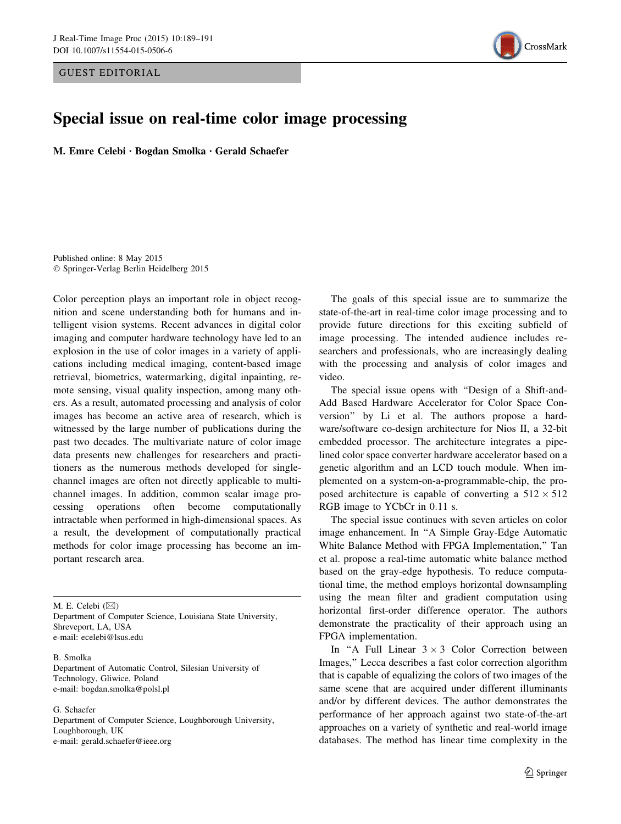GUEST EDITORIAL



## Special issue on real-time color image processing

M. Emre Celebi • Bogdan Smolka • Gerald Schaefer

Published online: 8 May 2015 - Springer-Verlag Berlin Heidelberg 2015

Color perception plays an important role in object recognition and scene understanding both for humans and intelligent vision systems. Recent advances in digital color imaging and computer hardware technology have led to an explosion in the use of color images in a variety of applications including medical imaging, content-based image retrieval, biometrics, watermarking, digital inpainting, remote sensing, visual quality inspection, among many others. As a result, automated processing and analysis of color images has become an active area of research, which is witnessed by the large number of publications during the past two decades. The multivariate nature of color image data presents new challenges for researchers and practitioners as the numerous methods developed for singlechannel images are often not directly applicable to multichannel images. In addition, common scalar image processing operations often become computationally intractable when performed in high-dimensional spaces. As a result, the development of computationally practical methods for color image processing has become an important research area.

M. E. Celebi  $(\boxtimes)$ Department of Computer Science, Louisiana State University, Shreveport, LA, USA e-mail: ecelebi@lsus.edu

B. Smolka Department of Automatic Control, Silesian University of Technology, Gliwice, Poland e-mail: bogdan.smolka@polsl.pl

G. Schaefer

Department of Computer Science, Loughborough University, Loughborough, UK e-mail: gerald.schaefer@ieee.org

The goals of this special issue are to summarize the state-of-the-art in real-time color image processing and to provide future directions for this exciting subfield of image processing. The intended audience includes researchers and professionals, who are increasingly dealing with the processing and analysis of color images and video.

The special issue opens with ''Design of a Shift-and-Add Based Hardware Accelerator for Color Space Conversion'' by Li et al. The authors propose a hardware/software co-design architecture for Nios II, a 32-bit embedded processor. The architecture integrates a pipelined color space converter hardware accelerator based on a genetic algorithm and an LCD touch module. When implemented on a system-on-a-programmable-chip, the proposed architecture is capable of converting a  $512 \times 512$ RGB image to YCbCr in 0.11 s.

The special issue continues with seven articles on color image enhancement. In ''A Simple Gray-Edge Automatic White Balance Method with FPGA Implementation,'' Tan et al. propose a real-time automatic white balance method based on the gray-edge hypothesis. To reduce computational time, the method employs horizontal downsampling using the mean filter and gradient computation using horizontal first-order difference operator. The authors demonstrate the practicality of their approach using an FPGA implementation.

In "A Full Linear  $3 \times 3$  Color Correction between Images,'' Lecca describes a fast color correction algorithm that is capable of equalizing the colors of two images of the same scene that are acquired under different illuminants and/or by different devices. The author demonstrates the performance of her approach against two state-of-the-art approaches on a variety of synthetic and real-world image databases. The method has linear time complexity in the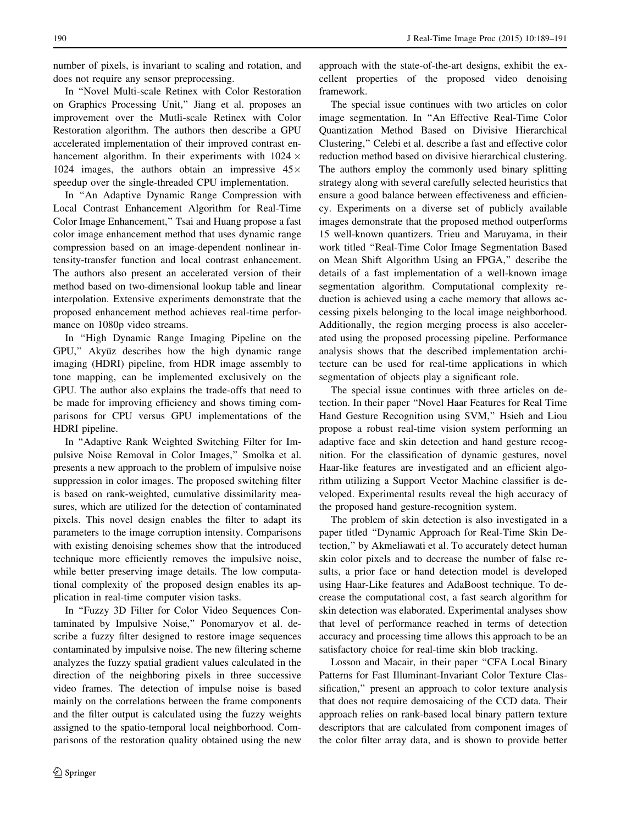number of pixels, is invariant to scaling and rotation, and does not require any sensor preprocessing.

In ''Novel Multi-scale Retinex with Color Restoration on Graphics Processing Unit,'' Jiang et al. proposes an improvement over the Mutli-scale Retinex with Color Restoration algorithm. The authors then describe a GPU accelerated implementation of their improved contrast enhancement algorithm. In their experiments with  $1024 \times$ 1024 images, the authors obtain an impressive  $45\times$ speedup over the single-threaded CPU implementation.

In ''An Adaptive Dynamic Range Compression with Local Contrast Enhancement Algorithm for Real-Time Color Image Enhancement,'' Tsai and Huang propose a fast color image enhancement method that uses dynamic range compression based on an image-dependent nonlinear intensity-transfer function and local contrast enhancement. The authors also present an accelerated version of their method based on two-dimensional lookup table and linear interpolation. Extensive experiments demonstrate that the proposed enhancement method achieves real-time performance on 1080p video streams.

In ''High Dynamic Range Imaging Pipeline on the GPU," Akyüz describes how the high dynamic range imaging (HDRI) pipeline, from HDR image assembly to tone mapping, can be implemented exclusively on the GPU. The author also explains the trade-offs that need to be made for improving efficiency and shows timing comparisons for CPU versus GPU implementations of the HDRI pipeline.

In ''Adaptive Rank Weighted Switching Filter for Impulsive Noise Removal in Color Images,'' Smolka et al. presents a new approach to the problem of impulsive noise suppression in color images. The proposed switching filter is based on rank-weighted, cumulative dissimilarity measures, which are utilized for the detection of contaminated pixels. This novel design enables the filter to adapt its parameters to the image corruption intensity. Comparisons with existing denoising schemes show that the introduced technique more efficiently removes the impulsive noise, while better preserving image details. The low computational complexity of the proposed design enables its application in real-time computer vision tasks.

In ''Fuzzy 3D Filter for Color Video Sequences Contaminated by Impulsive Noise,'' Ponomaryov et al. describe a fuzzy filter designed to restore image sequences contaminated by impulsive noise. The new filtering scheme analyzes the fuzzy spatial gradient values calculated in the direction of the neighboring pixels in three successive video frames. The detection of impulse noise is based mainly on the correlations between the frame components and the filter output is calculated using the fuzzy weights assigned to the spatio-temporal local neighborhood. Comparisons of the restoration quality obtained using the new approach with the state-of-the-art designs, exhibit the excellent properties of the proposed video denoising framework.

The special issue continues with two articles on color image segmentation. In ''An Effective Real-Time Color Quantization Method Based on Divisive Hierarchical Clustering,'' Celebi et al. describe a fast and effective color reduction method based on divisive hierarchical clustering. The authors employ the commonly used binary splitting strategy along with several carefully selected heuristics that ensure a good balance between effectiveness and efficiency. Experiments on a diverse set of publicly available images demonstrate that the proposed method outperforms 15 well-known quantizers. Trieu and Maruyama, in their work titled ''Real-Time Color Image Segmentation Based on Mean Shift Algorithm Using an FPGA,'' describe the details of a fast implementation of a well-known image segmentation algorithm. Computational complexity reduction is achieved using a cache memory that allows accessing pixels belonging to the local image neighborhood. Additionally, the region merging process is also accelerated using the proposed processing pipeline. Performance analysis shows that the described implementation architecture can be used for real-time applications in which segmentation of objects play a significant role.

The special issue continues with three articles on detection. In their paper ''Novel Haar Features for Real Time Hand Gesture Recognition using SVM,'' Hsieh and Liou propose a robust real-time vision system performing an adaptive face and skin detection and hand gesture recognition. For the classification of dynamic gestures, novel Haar-like features are investigated and an efficient algorithm utilizing a Support Vector Machine classifier is developed. Experimental results reveal the high accuracy of the proposed hand gesture-recognition system.

The problem of skin detection is also investigated in a paper titled ''Dynamic Approach for Real-Time Skin Detection,'' by Akmeliawati et al. To accurately detect human skin color pixels and to decrease the number of false results, a prior face or hand detection model is developed using Haar-Like features and AdaBoost technique. To decrease the computational cost, a fast search algorithm for skin detection was elaborated. Experimental analyses show that level of performance reached in terms of detection accuracy and processing time allows this approach to be an satisfactory choice for real-time skin blob tracking.

Losson and Macair, in their paper ''CFA Local Binary Patterns for Fast Illuminant-Invariant Color Texture Classification,'' present an approach to color texture analysis that does not require demosaicing of the CCD data. Their approach relies on rank-based local binary pattern texture descriptors that are calculated from component images of the color filter array data, and is shown to provide better